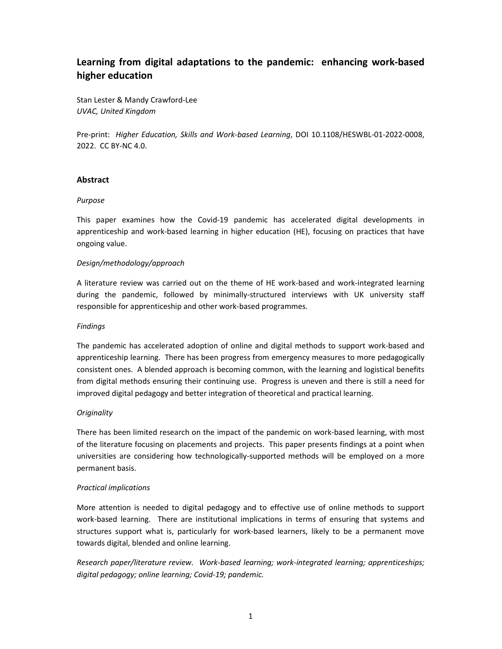# **Learning from digital adaptations to the pandemic: enhancing work-based higher education**

Stan Lester & Mandy Crawford-Lee *UVAC, United Kingdom* 

Pre-print: *Higher Education, Skills and Work-based Learning*, DOI 10.1108/HESWBL-01-2022-0008, 2022. CC BY-NC 4.0.

# **Abstract**

## *Purpose*

This paper examines how the Covid-19 pandemic has accelerated digital developments in apprenticeship and work-based learning in higher education (HE), focusing on practices that have ongoing value.

## *Design/methodology/approach*

A literature review was carried out on the theme of HE work-based and work-integrated learning during the pandemic, followed by minimally-structured interviews with UK university staff responsible for apprenticeship and other work-based programmes.

## *Findings*

The pandemic has accelerated adoption of online and digital methods to support work-based and apprenticeship learning. There has been progress from emergency measures to more pedagogically consistent ones. A blended approach is becoming common, with the learning and logistical benefits from digital methods ensuring their continuing use. Progress is uneven and there is still a need for improved digital pedagogy and better integration of theoretical and practical learning.

## *Originality*

There has been limited research on the impact of the pandemic on work-based learning, with most of the literature focusing on placements and projects. This paper presents findings at a point when universities are considering how technologically-supported methods will be employed on a more permanent basis.

## *Practical implications*

More attention is needed to digital pedagogy and to effective use of online methods to support work-based learning. There are institutional implications in terms of ensuring that systems and structures support what is, particularly for work-based learners, likely to be a permanent move towards digital, blended and online learning.

*Research paper/literature review. Work-based learning; work-integrated learning; apprenticeships; digital pedagogy; online learning; Covid-19; pandemic.*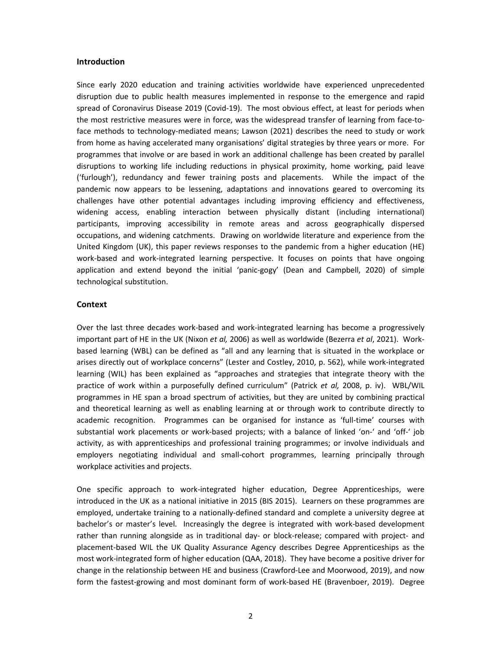#### **Introduction**

Since early 2020 education and training activities worldwide have experienced unprecedented disruption due to public health measures implemented in response to the emergence and rapid spread of Coronavirus Disease 2019 (Covid-19). The most obvious effect, at least for periods when the most restrictive measures were in force, was the widespread transfer of learning from face-toface methods to technology-mediated means; Lawson (2021) describes the need to study or work from home as having accelerated many organisations' digital strategies by three years or more. For programmes that involve or are based in work an additional challenge has been created by parallel disruptions to working life including reductions in physical proximity, home working, paid leave ('furlough'), redundancy and fewer training posts and placements. While the impact of the pandemic now appears to be lessening, adaptations and innovations geared to overcoming its challenges have other potential advantages including improving efficiency and effectiveness, widening access, enabling interaction between physically distant (including international) participants, improving accessibility in remote areas and across geographically dispersed occupations, and widening catchments. Drawing on worldwide literature and experience from the United Kingdom (UK), this paper reviews responses to the pandemic from a higher education (HE) work-based and work-integrated learning perspective. It focuses on points that have ongoing application and extend beyond the initial 'panic-gogy' (Dean and Campbell, 2020) of simple technological substitution.

#### **Context**

Over the last three decades work-based and work-integrated learning has become a progressively important part of HE in the UK (Nixon *et al,* 2006) as well as worldwide (Bezerra *et al*, 2021). Workbased learning (WBL) can be defined as "all and any learning that is situated in the workplace or arises directly out of workplace concerns" (Lester and Costley, 2010, p. 562), while work-integrated learning (WIL) has been explained as "approaches and strategies that integrate theory with the practice of work within a purposefully defined curriculum" (Patrick *et al,* 2008, p. iv). WBL/WIL programmes in HE span a broad spectrum of activities, but they are united by combining practical and theoretical learning as well as enabling learning at or through work to contribute directly to academic recognition. Programmes can be organised for instance as 'full-time' courses with substantial work placements or work-based projects; with a balance of linked 'on-' and 'off-' job activity, as with apprenticeships and professional training programmes; or involve individuals and employers negotiating individual and small-cohort programmes, learning principally through workplace activities and projects.

One specific approach to work-integrated higher education, Degree Apprenticeships, were introduced in the UK as a national initiative in 2015 (BIS 2015). Learners on these programmes are employed, undertake training to a nationally-defined standard and complete a university degree at bachelor's or master's level. Increasingly the degree is integrated with work-based development rather than running alongside as in traditional day- or block-release; compared with project- and placement-based WIL the UK Quality Assurance Agency describes Degree Apprenticeships as the most work-integrated form of higher education (QAA, 2018). They have become a positive driver for change in the relationship between HE and business (Crawford-Lee and Moorwood, 2019), and now form the fastest-growing and most dominant form of work-based HE (Bravenboer, 2019). Degree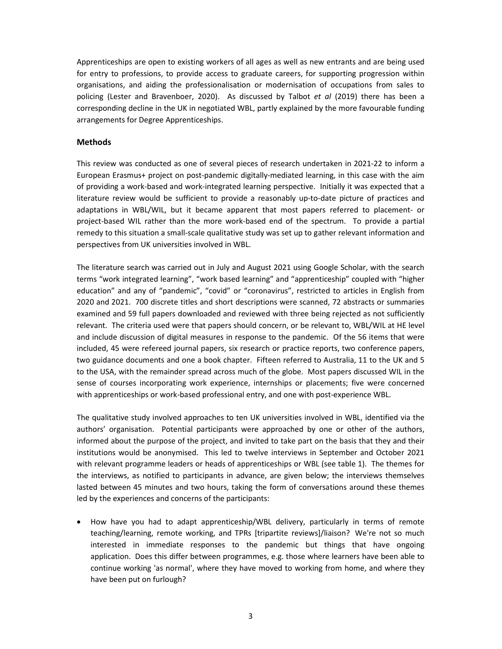Apprenticeships are open to existing workers of all ages as well as new entrants and are being used for entry to professions, to provide access to graduate careers, for supporting progression within organisations, and aiding the professionalisation or modernisation of occupations from sales to policing (Lester and Bravenboer, 2020). As discussed by Talbot *et al* (2019) there has been a corresponding decline in the UK in negotiated WBL, partly explained by the more favourable funding arrangements for Degree Apprenticeships.

## **Methods**

This review was conducted as one of several pieces of research undertaken in 2021-22 to inform a European Erasmus+ project on post-pandemic digitally-mediated learning, in this case with the aim of providing a work-based and work-integrated learning perspective. Initially it was expected that a literature review would be sufficient to provide a reasonably up-to-date picture of practices and adaptations in WBL/WIL, but it became apparent that most papers referred to placement- or project-based WIL rather than the more work-based end of the spectrum. To provide a partial remedy to this situation a small-scale qualitative study was set up to gather relevant information and perspectives from UK universities involved in WBL.

The literature search was carried out in July and August 2021 using Google Scholar, with the search terms "work integrated learning", "work based learning" and "apprenticeship" coupled with "higher education" and any of "pandemic", "covid" or "coronavirus", restricted to articles in English from 2020 and 2021. 700 discrete titles and short descriptions were scanned, 72 abstracts or summaries examined and 59 full papers downloaded and reviewed with three being rejected as not sufficiently relevant. The criteria used were that papers should concern, or be relevant to, WBL/WIL at HE level and include discussion of digital measures in response to the pandemic. Of the 56 items that were included, 45 were refereed journal papers, six research or practice reports, two conference papers, two guidance documents and one a book chapter. Fifteen referred to Australia, 11 to the UK and 5 to the USA, with the remainder spread across much of the globe. Most papers discussed WIL in the sense of courses incorporating work experience, internships or placements; five were concerned with apprenticeships or work-based professional entry, and one with post-experience WBL.

The qualitative study involved approaches to ten UK universities involved in WBL, identified via the authors' organisation. Potential participants were approached by one or other of the authors, informed about the purpose of the project, and invited to take part on the basis that they and their institutions would be anonymised. This led to twelve interviews in September and October 2021 with relevant programme leaders or heads of apprenticeships or WBL (see table 1). The themes for the interviews, as notified to participants in advance, are given below; the interviews themselves lasted between 45 minutes and two hours, taking the form of conversations around these themes led by the experiences and concerns of the participants:

• How have you had to adapt apprenticeship/WBL delivery, particularly in terms of remote teaching/learning, remote working, and TPRs [tripartite reviews]/liaison? We're not so much interested in immediate responses to the pandemic but things that have ongoing application. Does this differ between programmes, e.g. those where learners have been able to continue working 'as normal', where they have moved to working from home, and where they have been put on furlough?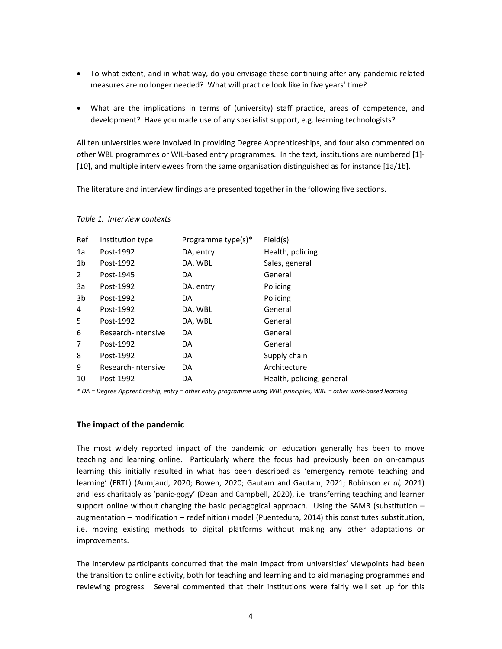- To what extent, and in what way, do you envisage these continuing after any pandemic-related measures are no longer needed? What will practice look like in five years' time?
- What are the implications in terms of (university) staff practice, areas of competence, and development? Have you made use of any specialist support, e.g. learning technologists?

All ten universities were involved in providing Degree Apprenticeships, and four also commented on other WBL programmes or WIL-based entry programmes. In the text, institutions are numbered [1]- [10], and multiple interviewees from the same organisation distinguished as for instance [1a/1b].

The literature and interview findings are presented together in the following five sections.

| Ref          | Institution type   | Programme type(s)* | Field(s)                  |
|--------------|--------------------|--------------------|---------------------------|
| 1a           | Post-1992          | DA, entry          | Health, policing          |
| 1b           | Post-1992          | DA, WBL            | Sales, general            |
| $\mathbf{2}$ | Post-1945          | DA                 | General                   |
| 3a           | Post-1992          | DA, entry          | Policing                  |
| 3b           | Post-1992          | DA                 | Policing                  |
| 4            | Post-1992          | DA, WBL            | General                   |
| 5            | Post-1992          | DA, WBL            | General                   |
| 6            | Research-intensive | DA                 | General                   |
| 7            | Post-1992          | DA                 | General                   |
| 8            | Post-1992          | DA                 | Supply chain              |
| 9            | Research-intensive | DA                 | Architecture              |
| 10           | Post-1992          | DA                 | Health, policing, general |
|              |                    |                    |                           |

#### *Table 1. Interview contexts*

*\* DA = Degree Apprenticeship, entry = other entry programme using WBL principles, WBL = other work-based learning* 

#### **The impact of the pandemic**

The most widely reported impact of the pandemic on education generally has been to move teaching and learning online. Particularly where the focus had previously been on on-campus learning this initially resulted in what has been described as 'emergency remote teaching and learning' (ERTL) (Aumjaud, 2020; Bowen, 2020; Gautam and Gautam, 2021; Robinson *et al,* 2021) and less charitably as 'panic-gogy' (Dean and Campbell, 2020), i.e. transferring teaching and learner support online without changing the basic pedagogical approach. Using the SAMR (substitution  $$ augmentation – modification – redefinition) model (Puentedura, 2014) this constitutes substitution, i.e. moving existing methods to digital platforms without making any other adaptations or improvements.

The interview participants concurred that the main impact from universities' viewpoints had been the transition to online activity, both for teaching and learning and to aid managing programmes and reviewing progress. Several commented that their institutions were fairly well set up for this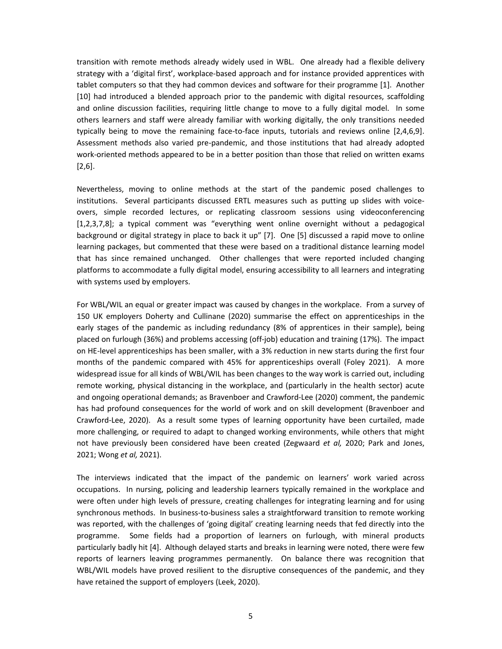transition with remote methods already widely used in WBL. One already had a flexible delivery strategy with a 'digital first', workplace-based approach and for instance provided apprentices with tablet computers so that they had common devices and software for their programme [1]. Another [10] had introduced a blended approach prior to the pandemic with digital resources, scaffolding and online discussion facilities, requiring little change to move to a fully digital model. In some others learners and staff were already familiar with working digitally, the only transitions needed typically being to move the remaining face-to-face inputs, tutorials and reviews online [2,4,6,9]. Assessment methods also varied pre-pandemic, and those institutions that had already adopted work-oriented methods appeared to be in a better position than those that relied on written exams [2,6].

Nevertheless, moving to online methods at the start of the pandemic posed challenges to institutions. Several participants discussed ERTL measures such as putting up slides with voiceovers, simple recorded lectures, or replicating classroom sessions using videoconferencing [1,2,3,7,8]; a typical comment was "everything went online overnight without a pedagogical background or digital strategy in place to back it up" [7]. One [5] discussed a rapid move to online learning packages, but commented that these were based on a traditional distance learning model that has since remained unchanged. Other challenges that were reported included changing platforms to accommodate a fully digital model, ensuring accessibility to all learners and integrating with systems used by employers.

For WBL/WIL an equal or greater impact was caused by changes in the workplace. From a survey of 150 UK employers Doherty and Cullinane (2020) summarise the effect on apprenticeships in the early stages of the pandemic as including redundancy (8% of apprentices in their sample), being placed on furlough (36%) and problems accessing (off-job) education and training (17%). The impact on HE-level apprenticeships has been smaller, with a 3% reduction in new starts during the first four months of the pandemic compared with 45% for apprenticeships overall (Foley 2021). A more widespread issue for all kinds of WBL/WIL has been changes to the way work is carried out, including remote working, physical distancing in the workplace, and (particularly in the health sector) acute and ongoing operational demands; as Bravenboer and Crawford-Lee (2020) comment, the pandemic has had profound consequences for the world of work and on skill development (Bravenboer and Crawford-Lee, 2020). As a result some types of learning opportunity have been curtailed, made more challenging, or required to adapt to changed working environments, while others that might not have previously been considered have been created (Zegwaard *et al,* 2020; Park and Jones, 2021; Wong *et al,* 2021).

The interviews indicated that the impact of the pandemic on learners' work varied across occupations. In nursing, policing and leadership learners typically remained in the workplace and were often under high levels of pressure, creating challenges for integrating learning and for using synchronous methods. In business-to-business sales a straightforward transition to remote working was reported, with the challenges of 'going digital' creating learning needs that fed directly into the programme. Some fields had a proportion of learners on furlough, with mineral products particularly badly hit [4]. Although delayed starts and breaks in learning were noted, there were few reports of learners leaving programmes permanently. On balance there was recognition that WBL/WIL models have proved resilient to the disruptive consequences of the pandemic, and they have retained the support of employers (Leek, 2020).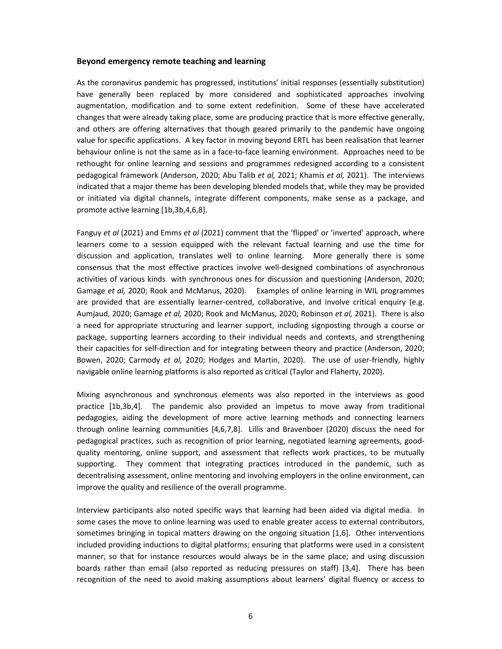## **Beyond emergency remote teaching and learning**

As the coronavirus pandemic has progressed, institutions' initial responses (essentially substitution) have generally been replaced by more considered and sophisticated approaches involving augmentation, modification and to some extent redefinition. Some of these have accelerated changes that were already taking place, some are producing practice that is more effective generally, and others are offering alternatives that though geared primarily to the pandemic have ongoing value for specific applications. A key factor in moving beyond ERTL has been realisation that learner behaviour online is not the same as in a face-to-face learning environment. Approaches need to be rethought for online learning and sessions and programmes redesigned according to a consistent pedagogical framework (Anderson, 2020; Abu Talib *et al,* 2021; Khamis *et al,* 2021). The interviews indicated that a major theme has been developing blended models that, while they may be provided or initiated via digital channels, integrate different components, make sense as a package, and promote active learning [1b,3b,4,6,8].

Fanguy *et al* (2021) and Emms *et al* (2021) comment that the 'flipped' or 'inverted' approach, where learners come to a session equipped with the relevant factual learning and use the time for discussion and application, translates well to online learning. More generally there is some consensus that the most effective practices involve well-designed combinations of asynchronous activities of various kinds with synchronous ones for discussion and questioning (Anderson, 2020; Gamage *et al,* 2020; Rook and McManus, 2020). Examples of online learning in WIL programmes are provided that are essentially learner-centred, collaborative, and involve critical enquiry (e.g. Aumjaud, 2020; Gamage *et al,* 2020; Rook and McManus, 2020; Robinson *et al,* 2021). There is also a need for appropriate structuring and learner support, including signposting through a course or package, supporting learners according to their individual needs and contexts, and strengthening their capacities for self-direction and for integrating between theory and practice (Anderson, 2020; Bowen, 2020; Carmody *et al,* 2020; Hodges and Martin, 2020). The use of user-friendly, highly navigable online learning platforms is also reported as critical (Taylor and Flaherty, 2020).

Mixing asynchronous and synchronous elements was also reported in the interviews as good practice [1b,3b,4]. The pandemic also provided an impetus to move away from traditional pedagogies, aiding the development of more active learning methods and connecting learners through online learning communities [4,6,7,8]. Lillis and Bravenboer (2020) discuss the need for pedagogical practices, such as recognition of prior learning, negotiated learning agreements, goodquality mentoring, online support, and assessment that reflects work practices, to be mutually supporting. They comment that integrating practices introduced in the pandemic, such as decentralising assessment, online mentoring and involving employers in the online environment, can improve the quality and resilience of the overall programme.

Interview participants also noted specific ways that learning had been aided via digital media. In some cases the move to online learning was used to enable greater access to external contributors, sometimes bringing in topical matters drawing on the ongoing situation [1,6]. Other interventions included providing inductions to digital platforms; ensuring that platforms were used in a consistent manner, so that for instance resources would always be in the same place; and using discussion boards rather than email (also reported as reducing pressures on staff) [3,4]. There has been recognition of the need to avoid making assumptions about learners' digital fluency or access to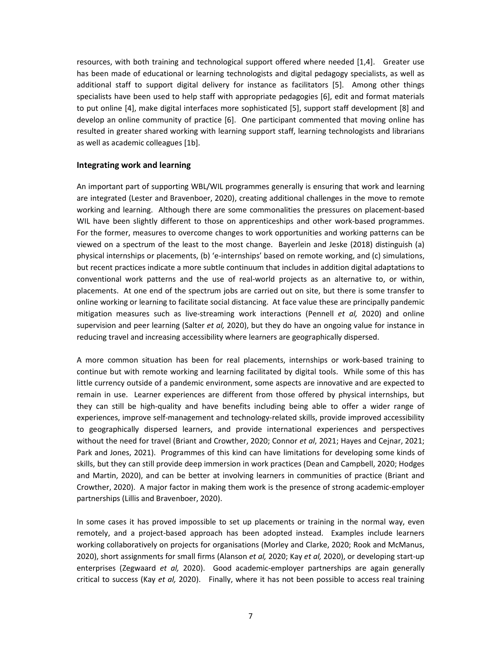resources, with both training and technological support offered where needed [1,4]. Greater use has been made of educational or learning technologists and digital pedagogy specialists, as well as additional staff to support digital delivery for instance as facilitators [5]. Among other things specialists have been used to help staff with appropriate pedagogies [6], edit and format materials to put online [4], make digital interfaces more sophisticated [5], support staff development [8] and develop an online community of practice [6]. One participant commented that moving online has resulted in greater shared working with learning support staff, learning technologists and librarians as well as academic colleagues [1b].

## **Integrating work and learning**

An important part of supporting WBL/WIL programmes generally is ensuring that work and learning are integrated (Lester and Bravenboer, 2020), creating additional challenges in the move to remote working and learning. Although there are some commonalities the pressures on placement-based WIL have been slightly different to those on apprenticeships and other work-based programmes. For the former, measures to overcome changes to work opportunities and working patterns can be viewed on a spectrum of the least to the most change. Bayerlein and Jeske (2018) distinguish (a) physical internships or placements, (b) 'e-internships' based on remote working, and (c) simulations, but recent practices indicate a more subtle continuum that includes in addition digital adaptations to conventional work patterns and the use of real-world projects as an alternative to, or within, placements. At one end of the spectrum jobs are carried out on site, but there is some transfer to online working or learning to facilitate social distancing. At face value these are principally pandemic mitigation measures such as live-streaming work interactions (Pennell *et al,* 2020) and online supervision and peer learning (Salter *et al,* 2020), but they do have an ongoing value for instance in reducing travel and increasing accessibility where learners are geographically dispersed.

A more common situation has been for real placements, internships or work-based training to continue but with remote working and learning facilitated by digital tools. While some of this has little currency outside of a pandemic environment, some aspects are innovative and are expected to remain in use. Learner experiences are different from those offered by physical internships, but they can still be high-quality and have benefits including being able to offer a wider range of experiences, improve self-management and technology-related skills, provide improved accessibility to geographically dispersed learners, and provide international experiences and perspectives without the need for travel (Briant and Crowther, 2020; Connor *et al*, 2021; Hayes and Cejnar, 2021; Park and Jones, 2021). Programmes of this kind can have limitations for developing some kinds of skills, but they can still provide deep immersion in work practices (Dean and Campbell, 2020; Hodges and Martin, 2020), and can be better at involving learners in communities of practice (Briant and Crowther, 2020). A major factor in making them work is the presence of strong academic-employer partnerships (Lillis and Bravenboer, 2020).

In some cases it has proved impossible to set up placements or training in the normal way, even remotely, and a project-based approach has been adopted instead. Examples include learners working collaboratively on projects for organisations (Morley and Clarke, 2020; Rook and McManus, 2020), short assignments for small firms (Alanson *et al,* 2020; Kay *et al,* 2020), or developing start-up enterprises (Zegwaard *et al,* 2020). Good academic-employer partnerships are again generally critical to success (Kay *et al,* 2020). Finally, where it has not been possible to access real training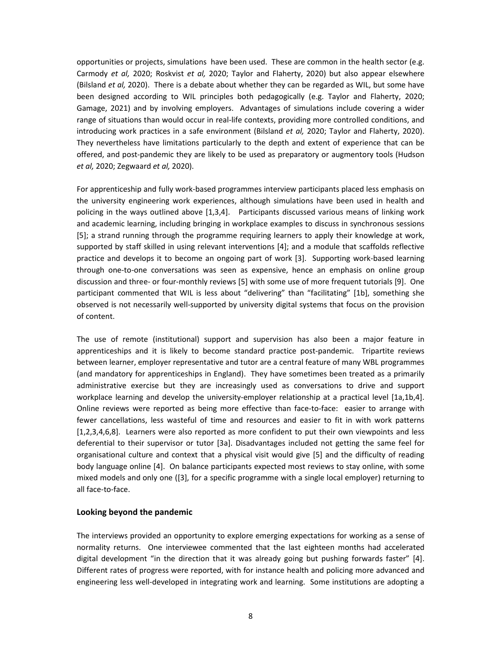opportunities or projects, simulations have been used. These are common in the health sector (e.g. Carmody *et al,* 2020; Roskvist *et al,* 2020; Taylor and Flaherty, 2020) but also appear elsewhere (Bilsland *et al,* 2020). There is a debate about whether they can be regarded as WIL, but some have been designed according to WIL principles both pedagogically (e.g. Taylor and Flaherty, 2020; Gamage, 2021) and by involving employers. Advantages of simulations include covering a wider range of situations than would occur in real-life contexts, providing more controlled conditions, and introducing work practices in a safe environment (Bilsland *et al,* 2020; Taylor and Flaherty, 2020). They nevertheless have limitations particularly to the depth and extent of experience that can be offered, and post-pandemic they are likely to be used as preparatory or augmentory tools (Hudson *et al,* 2020; Zegwaard *et al,* 2020).

For apprenticeship and fully work-based programmes interview participants placed less emphasis on the university engineering work experiences, although simulations have been used in health and policing in the ways outlined above [1,3,4]. Participants discussed various means of linking work and academic learning, including bringing in workplace examples to discuss in synchronous sessions [5]; a strand running through the programme requiring learners to apply their knowledge at work, supported by staff skilled in using relevant interventions [4]; and a module that scaffolds reflective practice and develops it to become an ongoing part of work [3]. Supporting work-based learning through one-to-one conversations was seen as expensive, hence an emphasis on online group discussion and three- or four-monthly reviews [5] with some use of more frequent tutorials [9]. One participant commented that WIL is less about "delivering" than "facilitating" [1b], something she observed is not necessarily well-supported by university digital systems that focus on the provision of content.

The use of remote (institutional) support and supervision has also been a major feature in apprenticeships and it is likely to become standard practice post-pandemic. Tripartite reviews between learner, employer representative and tutor are a central feature of many WBL programmes (and mandatory for apprenticeships in England). They have sometimes been treated as a primarily administrative exercise but they are increasingly used as conversations to drive and support workplace learning and develop the university-employer relationship at a practical level [1a,1b,4]. Online reviews were reported as being more effective than face-to-face: easier to arrange with fewer cancellations, less wasteful of time and resources and easier to fit in with work patterns [1,2,3,4,6,8]. Learners were also reported as more confident to put their own viewpoints and less deferential to their supervisor or tutor [3a]. Disadvantages included not getting the same feel for organisational culture and context that a physical visit would give [5] and the difficulty of reading body language online [4]. On balance participants expected most reviews to stay online, with some mixed models and only one ([3], for a specific programme with a single local employer) returning to all face-to-face.

## **Looking beyond the pandemic**

The interviews provided an opportunity to explore emerging expectations for working as a sense of normality returns. One interviewee commented that the last eighteen months had accelerated digital development "in the direction that it was already going but pushing forwards faster" [4]. Different rates of progress were reported, with for instance health and policing more advanced and engineering less well-developed in integrating work and learning. Some institutions are adopting a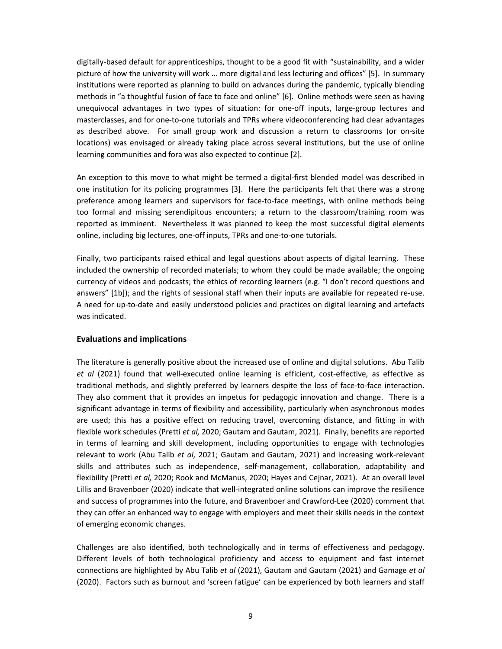digitally-based default for apprenticeships, thought to be a good fit with "sustainability, and a wider picture of how the university will work … more digital and less lecturing and offices" [5]. In summary institutions were reported as planning to build on advances during the pandemic, typically blending methods in "a thoughtful fusion of face to face and online" [6]. Online methods were seen as having unequivocal advantages in two types of situation: for one-off inputs, large-group lectures and masterclasses, and for one-to-one tutorials and TPRs where videoconferencing had clear advantages as described above. For small group work and discussion a return to classrooms (or on-site locations) was envisaged or already taking place across several institutions, but the use of online learning communities and fora was also expected to continue [2].

An exception to this move to what might be termed a digital-first blended model was described in one institution for its policing programmes [3]. Here the participants felt that there was a strong preference among learners and supervisors for face-to-face meetings, with online methods being too formal and missing serendipitous encounters; a return to the classroom/training room was reported as imminent. Nevertheless it was planned to keep the most successful digital elements online, including big lectures, one-off inputs, TPRs and one-to-one tutorials.

Finally, two participants raised ethical and legal questions about aspects of digital learning. These included the ownership of recorded materials; to whom they could be made available; the ongoing currency of videos and podcasts; the ethics of recording learners (e.g. "I don't record questions and answers" [1b]); and the rights of sessional staff when their inputs are available for repeated re-use. A need for up-to-date and easily understood policies and practices on digital learning and artefacts was indicated.

## **Evaluations and implications**

The literature is generally positive about the increased use of online and digital solutions. Abu Talib *et al* (2021) found that well-executed online learning is efficient, cost-effective, as effective as traditional methods, and slightly preferred by learners despite the loss of face-to-face interaction. They also comment that it provides an impetus for pedagogic innovation and change. There is a significant advantage in terms of flexibility and accessibility, particularly when asynchronous modes are used; this has a positive effect on reducing travel, overcoming distance, and fitting in with flexible work schedules (Pretti *et al,* 2020; Gautam and Gautam, 2021). Finally, benefits are reported in terms of learning and skill development, including opportunities to engage with technologies relevant to work (Abu Talib *et al,* 2021; Gautam and Gautam, 2021) and increasing work-relevant skills and attributes such as independence, self-management, collaboration, adaptability and flexibility (Pretti *et al,* 2020; Rook and McManus, 2020; Hayes and Cejnar, 2021). At an overall level Lillis and Bravenboer (2020) indicate that well-integrated online solutions can improve the resilience and success of programmes into the future, and Bravenboer and Crawford-Lee (2020) comment that they can offer an enhanced way to engage with employers and meet their skills needs in the context of emerging economic changes.

Challenges are also identified, both technologically and in terms of effectiveness and pedagogy. Different levels of both technological proficiency and access to equipment and fast internet connections are highlighted by Abu Talib *et al* (2021), Gautam and Gautam (2021) and Gamage *et al*  (2020). Factors such as burnout and 'screen fatigue' can be experienced by both learners and staff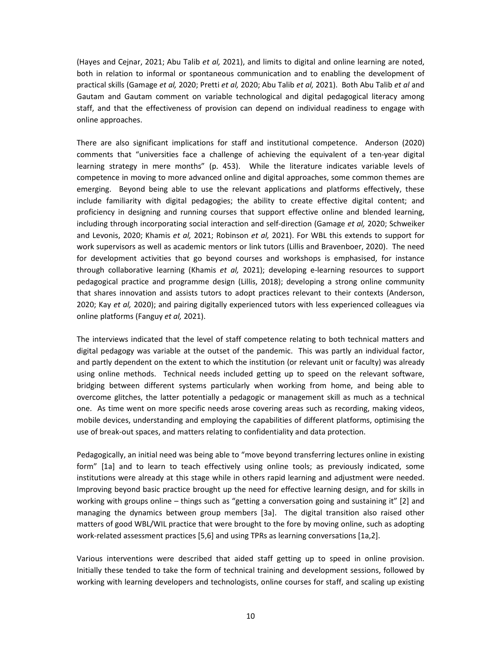(Hayes and Cejnar, 2021; Abu Talib *et al,* 2021), and limits to digital and online learning are noted, both in relation to informal or spontaneous communication and to enabling the development of practical skills (Gamage *et al,* 2020; Pretti *et al,* 2020; Abu Talib *et al,* 2021). Both Abu Talib *et al* and Gautam and Gautam comment on variable technological and digital pedagogical literacy among staff, and that the effectiveness of provision can depend on individual readiness to engage with online approaches.

There are also significant implications for staff and institutional competence. Anderson (2020) comments that "universities face a challenge of achieving the equivalent of a ten-year digital learning strategy in mere months" (p. 453). While the literature indicates variable levels of competence in moving to more advanced online and digital approaches, some common themes are emerging. Beyond being able to use the relevant applications and platforms effectively, these include familiarity with digital pedagogies; the ability to create effective digital content; and proficiency in designing and running courses that support effective online and blended learning, including through incorporating social interaction and self-direction (Gamage *et al,* 2020; Schweiker and Levonis, 2020; Khamis *et al,* 2021; Robinson *et al,* 2021). For WBL this extends to support for work supervisors as well as academic mentors or link tutors (Lillis and Bravenboer, 2020). The need for development activities that go beyond courses and workshops is emphasised, for instance through collaborative learning (Khamis *et al,* 2021); developing e-learning resources to support pedagogical practice and programme design (Lillis, 2018); developing a strong online community that shares innovation and assists tutors to adopt practices relevant to their contexts (Anderson, 2020; Kay *et al,* 2020); and pairing digitally experienced tutors with less experienced colleagues via online platforms (Fanguy *et al,* 2021).

The interviews indicated that the level of staff competence relating to both technical matters and digital pedagogy was variable at the outset of the pandemic. This was partly an individual factor, and partly dependent on the extent to which the institution (or relevant unit or faculty) was already using online methods. Technical needs included getting up to speed on the relevant software, bridging between different systems particularly when working from home, and being able to overcome glitches, the latter potentially a pedagogic or management skill as much as a technical one. As time went on more specific needs arose covering areas such as recording, making videos, mobile devices, understanding and employing the capabilities of different platforms, optimising the use of break-out spaces, and matters relating to confidentiality and data protection.

Pedagogically, an initial need was being able to "move beyond transferring lectures online in existing form" [1a] and to learn to teach effectively using online tools; as previously indicated, some institutions were already at this stage while in others rapid learning and adjustment were needed. Improving beyond basic practice brought up the need for effective learning design, and for skills in working with groups online – things such as "getting a conversation going and sustaining it" [2] and managing the dynamics between group members [3a]. The digital transition also raised other matters of good WBL/WIL practice that were brought to the fore by moving online, such as adopting work-related assessment practices [5,6] and using TPRs as learning conversations [1a,2].

Various interventions were described that aided staff getting up to speed in online provision. Initially these tended to take the form of technical training and development sessions, followed by working with learning developers and technologists, online courses for staff, and scaling up existing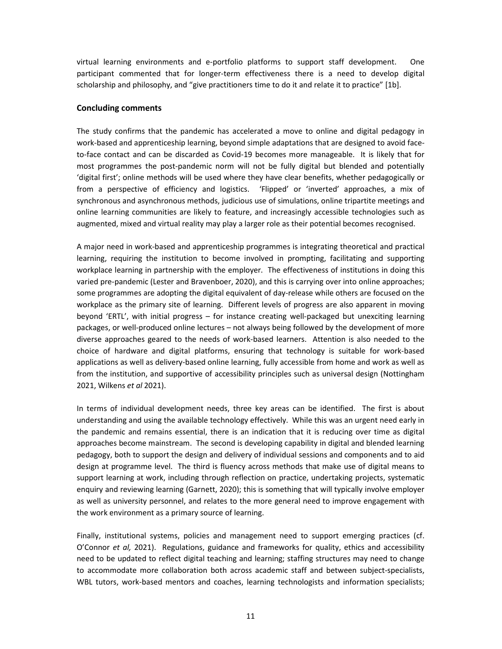virtual learning environments and e-portfolio platforms to support staff development. One participant commented that for longer-term effectiveness there is a need to develop digital scholarship and philosophy, and "give practitioners time to do it and relate it to practice" [1b].

#### **Concluding comments**

The study confirms that the pandemic has accelerated a move to online and digital pedagogy in work-based and apprenticeship learning, beyond simple adaptations that are designed to avoid faceto-face contact and can be discarded as Covid-19 becomes more manageable. It is likely that for most programmes the post-pandemic norm will not be fully digital but blended and potentially 'digital first'; online methods will be used where they have clear benefits, whether pedagogically or from a perspective of efficiency and logistics. 'Flipped' or 'inverted' approaches, a mix of synchronous and asynchronous methods, judicious use of simulations, online tripartite meetings and online learning communities are likely to feature, and increasingly accessible technologies such as augmented, mixed and virtual reality may play a larger role as their potential becomes recognised.

A major need in work-based and apprenticeship programmes is integrating theoretical and practical learning, requiring the institution to become involved in prompting, facilitating and supporting workplace learning in partnership with the employer. The effectiveness of institutions in doing this varied pre-pandemic (Lester and Bravenboer, 2020), and this is carrying over into online approaches; some programmes are adopting the digital equivalent of day-release while others are focused on the workplace as the primary site of learning. Different levels of progress are also apparent in moving beyond 'ERTL', with initial progress – for instance creating well-packaged but unexciting learning packages, or well-produced online lectures – not always being followed by the development of more diverse approaches geared to the needs of work-based learners. Attention is also needed to the choice of hardware and digital platforms, ensuring that technology is suitable for work-based applications as well as delivery-based online learning, fully accessible from home and work as well as from the institution, and supportive of accessibility principles such as universal design (Nottingham 2021, Wilkens *et al* 2021).

In terms of individual development needs, three key areas can be identified. The first is about understanding and using the available technology effectively. While this was an urgent need early in the pandemic and remains essential, there is an indication that it is reducing over time as digital approaches become mainstream. The second is developing capability in digital and blended learning pedagogy, both to support the design and delivery of individual sessions and components and to aid design at programme level. The third is fluency across methods that make use of digital means to support learning at work, including through reflection on practice, undertaking projects, systematic enquiry and reviewing learning (Garnett, 2020); this is something that will typically involve employer as well as university personnel, and relates to the more general need to improve engagement with the work environment as a primary source of learning.

Finally, institutional systems, policies and management need to support emerging practices (cf. O'Connor *et al,* 2021). Regulations, guidance and frameworks for quality, ethics and accessibility need to be updated to reflect digital teaching and learning; staffing structures may need to change to accommodate more collaboration both across academic staff and between subject-specialists, WBL tutors, work-based mentors and coaches, learning technologists and information specialists;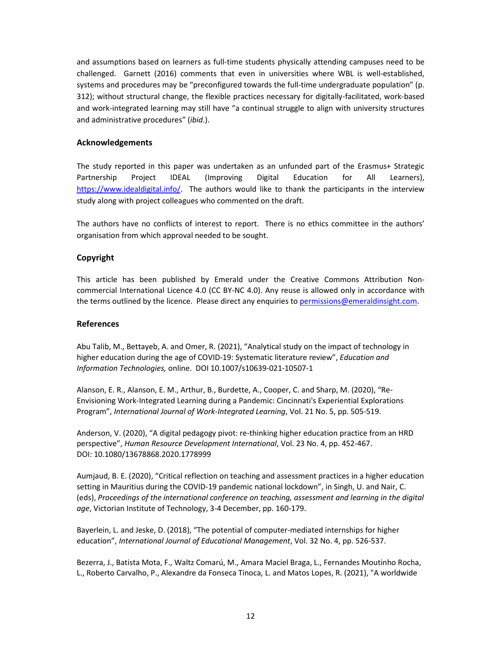and assumptions based on learners as full-time students physically attending campuses need to be challenged. Garnett (2016) comments that even in universities where WBL is well-established, systems and procedures may be "preconfigured towards the full-time undergraduate population" (p. 312); without structural change, the flexible practices necessary for digitally-facilitated, work-based and work-integrated learning may still have "a continual struggle to align with university structures and administrative procedures" (*ibid*.).

# **Acknowledgements**

The study reported in this paper was undertaken as an unfunded part of the Erasmus+ Strategic Partnership Project IDEAL (Improving Digital Education for All Learners), https://www.idealdigital.info/. The authors would like to thank the participants in the interview study along with project colleagues who commented on the draft.

The authors have no conflicts of interest to report. There is no ethics committee in the authors' organisation from which approval needed to be sought.

# **Copyright**

This article has been published by Emerald under the Creative Commons Attribution Noncommercial International Licence 4.0 (CC BY-NC 4.0). Any reuse is allowed only in accordance with the terms outlined by the licence. Please direct any enquiries to permissions@emeraldinsight.com.

## **References**

Abu Talib, M., Bettayeb, A. and Omer, R. (2021), "Analytical study on the impact of technology in higher education during the age of COVID-19: Systematic literature review", *Education and Information Technologies,* online. DOI 10.1007/s10639-021-10507-1

Alanson, E. R., Alanson, E. M., Arthur, B., Burdette, A., Cooper, C. and Sharp, M. (2020), "Re-Envisioning Work-Integrated Learning during a Pandemic: Cincinnati's Experiential Explorations Program", *International Journal of Work-Integrated Learning*, Vol. 21 No. 5, pp. 505-519.

Anderson, V. (2020), "A digital pedagogy pivot: re-thinking higher education practice from an HRD perspective", *Human Resource Development International*, Vol. 23 No. 4, pp. 452-467. DOI: 10.1080/13678868.2020.1778999

Aumjaud, B. E. (2020), "Critical reflection on teaching and assessment practices in a higher education setting in Mauritius during the COVID-19 pandemic national lockdown", in Singh, U. and Nair, C. (eds), *Proceedings of the international conference on teaching, assessment and learning in the digital age*, Victorian Institute of Technology, 3-4 December, pp. 160-179.

Bayerlein, L. and Jeske, D. (2018), "The potential of computer-mediated internships for higher education", *International Journal of Educational Management*, Vol. 32 No. 4, pp. 526-537.

Bezerra, J., Batista Mota, F., Waltz Comarú, M., Amara Maciel Braga, L., Fernandes Moutinho Rocha, L., Roberto Carvalho, P., Alexandre da Fonseca Tinoca, L. and Matos Lopes, R. (2021), "A worldwide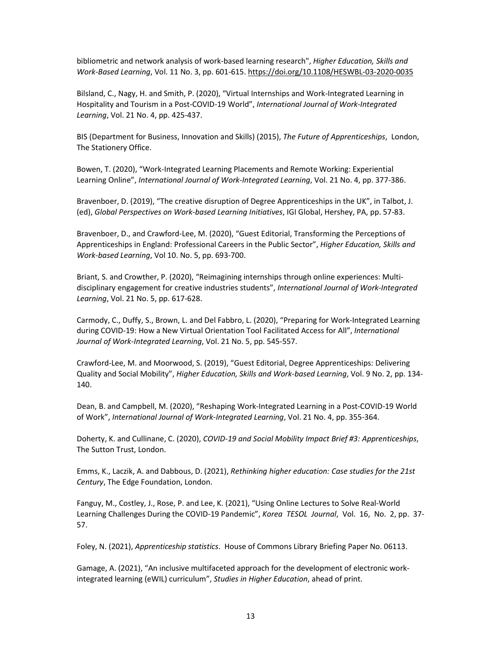bibliometric and network analysis of work-based learning research", *Higher Education, Skills and Work-Based Learning*, Vol. 11 No. 3, pp. 601-615. https://doi.org/10.1108/HESWBL-03-2020-0035

Bilsland, C., Nagy, H. and Smith, P. (2020), "Virtual Internships and Work-Integrated Learning in Hospitality and Tourism in a Post-COVID-19 World", *International Journal of Work-Integrated Learning*, Vol. 21 No. 4, pp. 425-437.

BIS (Department for Business, Innovation and Skills) (2015), *The Future of Apprenticeships*, London, The Stationery Office.

Bowen, T. (2020), "Work-Integrated Learning Placements and Remote Working: Experiential Learning Online", *International Journal of Work-Integrated Learning*, Vol. 21 No. 4, pp. 377-386.

Bravenboer, D. (2019), "The creative disruption of Degree Apprenticeships in the UK", in Talbot, J. (ed), *Global Perspectives on Work-based Learning Initiatives*, IGI Global, Hershey, PA, pp. 57-83.

Bravenboer, D., and Crawford-Lee, M. (2020), "Guest Editorial, Transforming the Perceptions of Apprenticeships in England: Professional Careers in the Public Sector", *Higher Education, Skills and Work-based Learning*, Vol 10. No. 5, pp. 693-700.

Briant, S. and Crowther, P. (2020), "Reimagining internships through online experiences: Multidisciplinary engagement for creative industries students", *International Journal of Work-Integrated Learning*, Vol. 21 No. 5, pp. 617-628.

Carmody, C., Duffy, S., Brown, L. and Del Fabbro, L. (2020), "Preparing for Work-Integrated Learning during COVID-19: How a New Virtual Orientation Tool Facilitated Access for All", *International Journal of Work-Integrated Learning*, Vol. 21 No. 5, pp. 545-557.

Crawford-Lee, M. and Moorwood, S. (2019), "Guest Editorial, Degree Apprenticeships: Delivering Quality and Social Mobility", *Higher Education, Skills and Work-based Learning*, Vol. 9 No. 2, pp. 134- 140.

Dean, B. and Campbell, M. (2020), "Reshaping Work-Integrated Learning in a Post-COVID-19 World of Work", *International Journal of Work-Integrated Learning*, Vol. 21 No. 4, pp. 355-364.

Doherty, K. and Cullinane, C. (2020), *COVID-19 and Social Mobility Impact Brief #3: Apprenticeships*, The Sutton Trust, London.

Emms, K., Laczik, A. and Dabbous, D. (2021), *Rethinking higher education: Case studies for the 21st Century*, The Edge Foundation, London.

Fanguy, M., Costley, J., Rose, P. and Lee, K. (2021), "Using Online Lectures to Solve Real-World Learning Challenges During the COVID-19 Pandemic", *Korea TESOL Journal*, Vol. 16, No. 2, pp. 37- 57.

Foley, N. (2021), *Apprenticeship statistics*. House of Commons Library Briefing Paper No. 06113.

Gamage, A. (2021), "An inclusive multifaceted approach for the development of electronic workintegrated learning (eWIL) curriculum", *Studies in Higher Education*, ahead of print.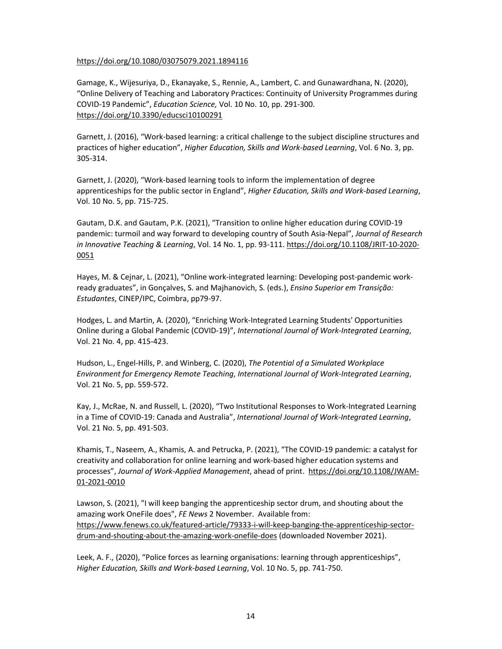## https://doi.org/10.1080/03075079.2021.1894116

Gamage, K., Wijesuriya, D., Ekanayake, S., Rennie, A., Lambert, C. and Gunawardhana, N. (2020), "Online Delivery of Teaching and Laboratory Practices: Continuity of University Programmes during COVID-19 Pandemic", *Education Science,* Vol. 10 No. 10, pp. 291-300. https://doi.org/10.3390/educsci10100291

Garnett, J. (2016), "Work-based learning: a critical challenge to the subject discipline structures and practices of higher education", *Higher Education, Skills and Work-based Learning*, Vol. 6 No. 3, pp. 305-314.

Garnett, J. (2020), "Work-based learning tools to inform the implementation of degree apprenticeships for the public sector in England", *Higher Education, Skills and Work-based Learning*, Vol. 10 No. 5, pp. 715-725.

Gautam, D.K. and Gautam, P.K. (2021), "Transition to online higher education during COVID-19 pandemic: turmoil and way forward to developing country of South Asia-Nepal", *Journal of Research in Innovative Teaching & Learning*, Vol. 14 No. 1, pp. 93-111. https://doi.org/10.1108/JRIT-10-2020- 0051

Hayes, M. & Cejnar, L. (2021), "Online work-integrated learning: Developing post-pandemic workready graduates", in Gonçalves, S. and Majhanovich, S. (eds.), *Ensino Superior em Transição: Estudantes*, CINEP/IPC, Coimbra, pp79-97.

Hodges, L. and Martin, A. (2020), "Enriching Work-Integrated Learning Students' Opportunities Online during a Global Pandemic (COVID-19)", *International Journal of Work-Integrated Learning*, Vol. 21 No. 4, pp. 415-423.

Hudson, L., Engel-Hills, P. and Winberg, C. (2020), *The Potential of a Simulated Workplace Environment for Emergency Remote Teaching*, *International Journal of Work-Integrated Learning*, Vol. 21 No. 5, pp. 559-572.

Kay, J., McRae, N. and Russell, L. (2020), "Two Institutional Responses to Work-Integrated Learning in a Time of COVID-19: Canada and Australia", *International Journal of Work-Integrated Learning*, Vol. 21 No. 5, pp. 491-503.

Khamis, T., Naseem, A., Khamis, A. and Petrucka, P. (2021), "The COVID-19 pandemic: a catalyst for creativity and collaboration for online learning and work-based higher education systems and processes", *Journal of Work-Applied Management*, ahead of print. https://doi.org/10.1108/JWAM-01-2021-0010

Lawson, S. (2021), "I will keep banging the apprenticeship sector drum, and shouting about the amazing work OneFile does", *FE News* 2 November. Available from: https://www.fenews.co.uk/featured-article/79333-i-will-keep-banging-the-apprenticeship-sectordrum-and-shouting-about-the-amazing-work-onefile-does (downloaded November 2021).

Leek, A. F., (2020), "Police forces as learning organisations: learning through apprenticeships", *Higher Education, Skills and Work-based Learning*, Vol. 10 No. 5, pp. 741-750.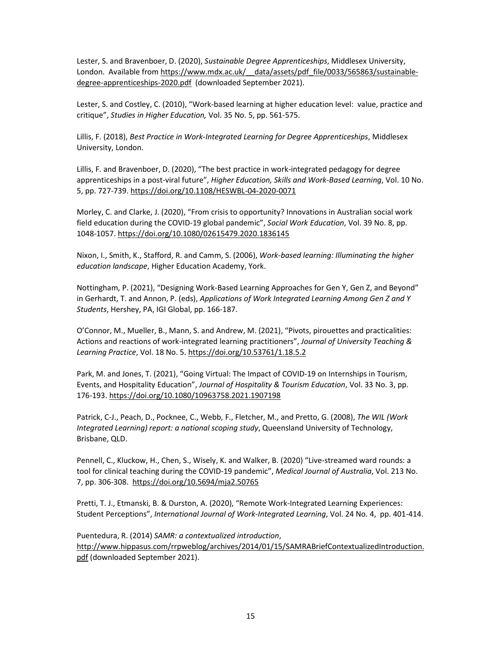Lester, S. and Bravenboer, D. (2020), *Sustainable Degree Apprenticeships*, Middlesex University, London. Available from https://www.mdx.ac.uk/ data/assets/pdf file/0033/565863/sustainabledegree-apprenticeships-2020.pdf (downloaded September 2021).

Lester, S. and Costley, C. (2010), "Work-based learning at higher education level: value, practice and critique", *Studies in Higher Education,* Vol. 35 No. 5, pp. 561-575.

Lillis, F. (2018), *Best Practice in Work-Integrated Learning for Degree Apprenticeships*, Middlesex University, London.

Lillis, F. and Bravenboer, D. (2020), "The best practice in work-integrated pedagogy for degree apprenticeships in a post-viral future", *Higher Education, Skills and Work-Based Learning*, Vol. 10 No. 5, pp. 727-739. https://doi.org/10.1108/HESWBL-04-2020-0071

Morley, C. and Clarke, J. (2020), "From crisis to opportunity? Innovations in Australian social work field education during the COVID-19 global pandemic", *Social Work Education*, Vol. 39 No. 8, pp. 1048-1057. https://doi.org/10.1080/02615479.2020.1836145

Nixon, I., Smith, K., Stafford, R. and Camm, S. (2006), *Work-based learning: Illuminating the higher education landscape*, Higher Education Academy, York.

Nottingham, P. (2021), "Designing Work-Based Learning Approaches for Gen Y, Gen Z, and Beyond" in Gerhardt, T. and Annon, P. (eds), *Applications of Work Integrated Learning Among Gen Z and Y Students*, Hershey, PA, IGI Global, pp. 166-187.

O'Connor, M., Mueller, B., Mann, S. and Andrew, M. (2021), "Pivots, pirouettes and practicalities: Actions and reactions of work-integrated learning practitioners", *Journal of University Teaching & Learning Practice*, Vol. 18 No. 5. https://doi.org/10.53761/1.18.5.2

Park, M. and Jones, T. (2021), "Going Virtual: The Impact of COVID-19 on Internships in Tourism, Events, and Hospitality Education", *Journal of Hospitality & Tourism Education*, Vol. 33 No. 3, pp. 176-193. https://doi.org/10.1080/10963758.2021.1907198

Patrick, C-J., Peach, D., Pocknee, C., Webb, F., Fletcher, M., and Pretto, G. (2008), *The WIL (Work Integrated Learning) report: a national scoping study*, Queensland University of Technology, Brisbane, QLD.

Pennell, C., Kluckow, H., Chen, S., Wisely, K. and Walker, B. (2020) "Live-streamed ward rounds: a tool for clinical teaching during the COVID-19 pandemic", *Medical Journal of Australia*, Vol. 213 No. 7, pp. 306-308. https://doi.org/10.5694/mja2.50765

Pretti, T. J., Etmanski, B. & Durston, A. (2020), "Remote Work-Integrated Learning Experiences: Student Perceptions", *International Journal of Work-Integrated Learning*, Vol. 24 No. 4, pp. 401-414.

Puentedura, R. (2014) *SAMR: a contextualized introduction*, http://www.hippasus.com/rrpweblog/archives/2014/01/15/SAMRABriefContextualizedIntroduction. pdf (downloaded September 2021).